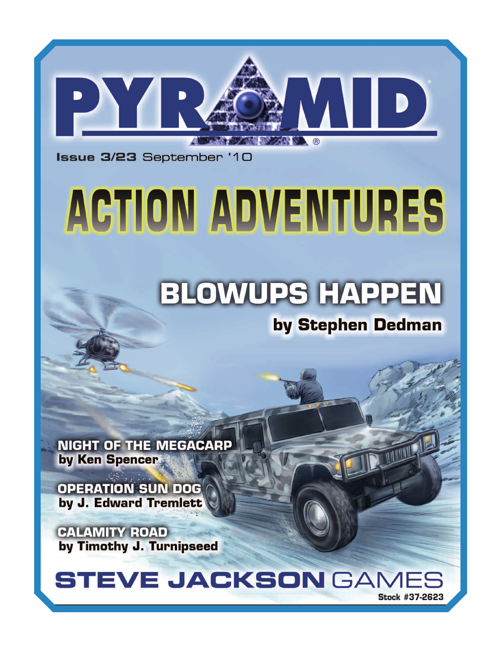

Issue 3/23 September '10

# ACTION ADVENTURES

### **BLOWUPS HAPPEN**

### by Stephen Dedman

**NIGHT OF THE MEGACARP** by Ken Spencer

**OPERATION SUN DOG** by J. Edward Tremlett

**CALAMITY ROAD** by Timothy J. Turnipseed



**Stock #37-2623**